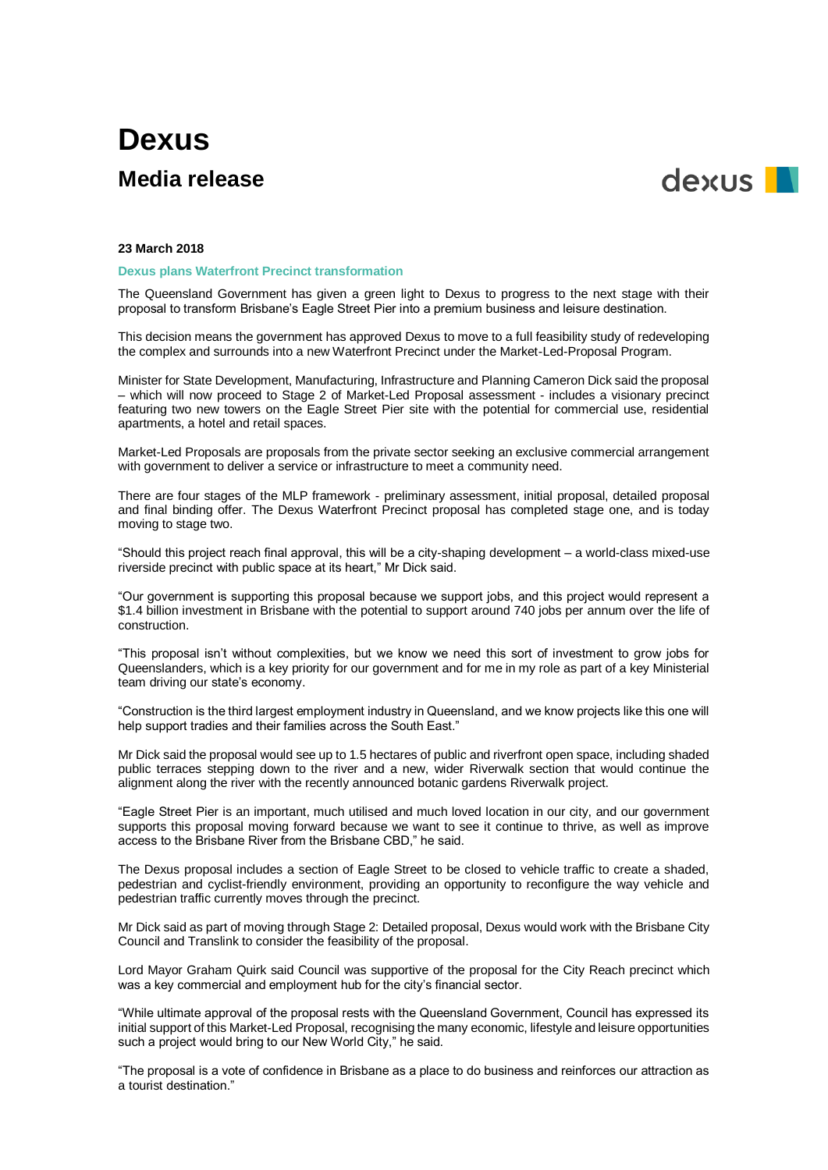# **Dexus Media release**



## **23 March 2018**

## **Dexus plans Waterfront Precinct transformation**

The Queensland Government has given a green light to Dexus to progress to the next stage with their proposal to transform Brisbane's Eagle Street Pier into a premium business and leisure destination.

This decision means the government has approved Dexus to move to a full feasibility study of redeveloping the complex and surrounds into a new Waterfront Precinct under the Market-Led-Proposal Program.

Minister for State Development, Manufacturing, Infrastructure and Planning Cameron Dick said the proposal – which will now proceed to Stage 2 of Market-Led Proposal assessment - includes a visionary precinct featuring two new towers on the Eagle Street Pier site with the potential for commercial use, residential apartments, a hotel and retail spaces.

Market-Led Proposals are proposals from the private sector seeking an exclusive commercial arrangement with government to deliver a service or infrastructure to meet a community need.

There are four stages of the MLP framework - preliminary assessment, initial proposal, detailed proposal and final binding offer. The Dexus Waterfront Precinct proposal has completed stage one, and is today moving to stage two.

"Should this project reach final approval, this will be a city-shaping development – a world-class mixed-use riverside precinct with public space at its heart," Mr Dick said.

"Our government is supporting this proposal because we support jobs, and this project would represent a \$1.4 billion investment in Brisbane with the potential to support around 740 jobs per annum over the life of construction.

"This proposal isn't without complexities, but we know we need this sort of investment to grow jobs for Queenslanders, which is a key priority for our government and for me in my role as part of a key Ministerial team driving our state's economy.

"Construction is the third largest employment industry in Queensland, and we know projects like this one will help support tradies and their families across the South East."

Mr Dick said the proposal would see up to 1.5 hectares of public and riverfront open space, including shaded public terraces stepping down to the river and a new, wider Riverwalk section that would continue the alignment along the river with the recently announced botanic gardens Riverwalk project.

"Eagle Street Pier is an important, much utilised and much loved location in our city, and our government supports this proposal moving forward because we want to see it continue to thrive, as well as improve access to the Brisbane River from the Brisbane CBD," he said.

The Dexus proposal includes a section of Eagle Street to be closed to vehicle traffic to create a shaded, pedestrian and cyclist-friendly environment, providing an opportunity to reconfigure the way vehicle and pedestrian traffic currently moves through the precinct.

Mr Dick said as part of moving through Stage 2: Detailed proposal, Dexus would work with the Brisbane City Council and Translink to consider the feasibility of the proposal.

Lord Mayor Graham Quirk said Council was supportive of the proposal for the City Reach precinct which was a key commercial and employment hub for the city's financial sector.

"While ultimate approval of the proposal rests with the Queensland Government, Council has expressed its initial support of this Market-Led Proposal, recognising the many economic, lifestyle and leisure opportunities such a project would bring to our New World City," he said.

"The proposal is a vote of confidence in Brisbane as a place to do business and reinforces our attraction as a tourist destination."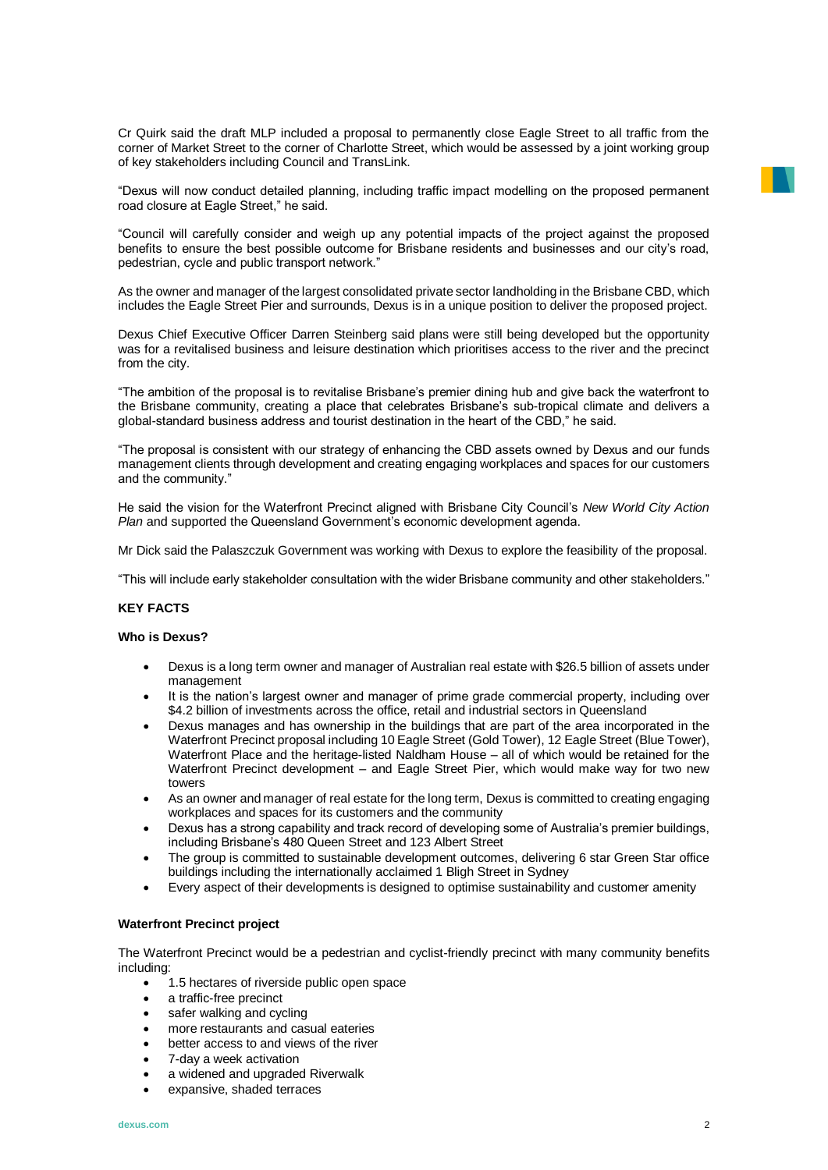Cr Quirk said the draft MLP included a proposal to permanently close Eagle Street to all traffic from the corner of Market Street to the corner of Charlotte Street, which would be assessed by a joint working group of key stakeholders including Council and TransLink.

"Dexus will now conduct detailed planning, including traffic impact modelling on the proposed permanent road closure at Eagle Street," he said.

"Council will carefully consider and weigh up any potential impacts of the project against the proposed benefits to ensure the best possible outcome for Brisbane residents and businesses and our city's road, pedestrian, cycle and public transport network."

As the owner and manager of the largest consolidated private sector landholding in the Brisbane CBD, which includes the Eagle Street Pier and surrounds, Dexus is in a unique position to deliver the proposed project.

Dexus Chief Executive Officer Darren Steinberg said plans were still being developed but the opportunity was for a revitalised business and leisure destination which prioritises access to the river and the precinct from the city.

"The ambition of the proposal is to revitalise Brisbane's premier dining hub and give back the waterfront to the Brisbane community, creating a place that celebrates Brisbane's sub-tropical climate and delivers a global-standard business address and tourist destination in the heart of the CBD," he said.

"The proposal is consistent with our strategy of enhancing the CBD assets owned by Dexus and our funds management clients through development and creating engaging workplaces and spaces for our customers and the community."

He said the vision for the Waterfront Precinct aligned with Brisbane City Council's *New World City Action Plan* and supported the Queensland Government's economic development agenda.

Mr Dick said the Palaszczuk Government was working with Dexus to explore the feasibility of the proposal.

"This will include early stakeholder consultation with the wider Brisbane community and other stakeholders."

## **KEY FACTS**

# **Who is Dexus?**

- Dexus is a long term owner and manager of Australian real estate with \$26.5 billion of assets under management
- It is the nation's largest owner and manager of prime grade commercial property, including over \$4.2 billion of investments across the office, retail and industrial sectors in Queensland
- Dexus manages and has ownership in the buildings that are part of the area incorporated in the Waterfront Precinct proposal including 10 Eagle Street (Gold Tower), 12 Eagle Street (Blue Tower), Waterfront Place and the heritage-listed Naldham House – all of which would be retained for the Waterfront Precinct development – and Eagle Street Pier, which would make way for two new towers
- As an owner and manager of real estate for the long term, Dexus is committed to creating engaging workplaces and spaces for its customers and the community
- Dexus has a strong capability and track record of developing some of Australia's premier buildings, including Brisbane's 480 Queen Street and 123 Albert Street
- The group is committed to sustainable development outcomes, delivering 6 star Green Star office buildings including the internationally acclaimed 1 Bligh Street in Sydney
- Every aspect of their developments is designed to optimise sustainability and customer amenity

## **Waterfront Precinct project**

The Waterfront Precinct would be a pedestrian and cyclist-friendly precinct with many community benefits including:

- 1.5 hectares of riverside public open space
- a traffic-free precinct
- safer walking and cycling
- more restaurants and casual eateries
- better access to and views of the river
- 7-day a week activation
- a widened and upgraded Riverwalk
- expansive, shaded terraces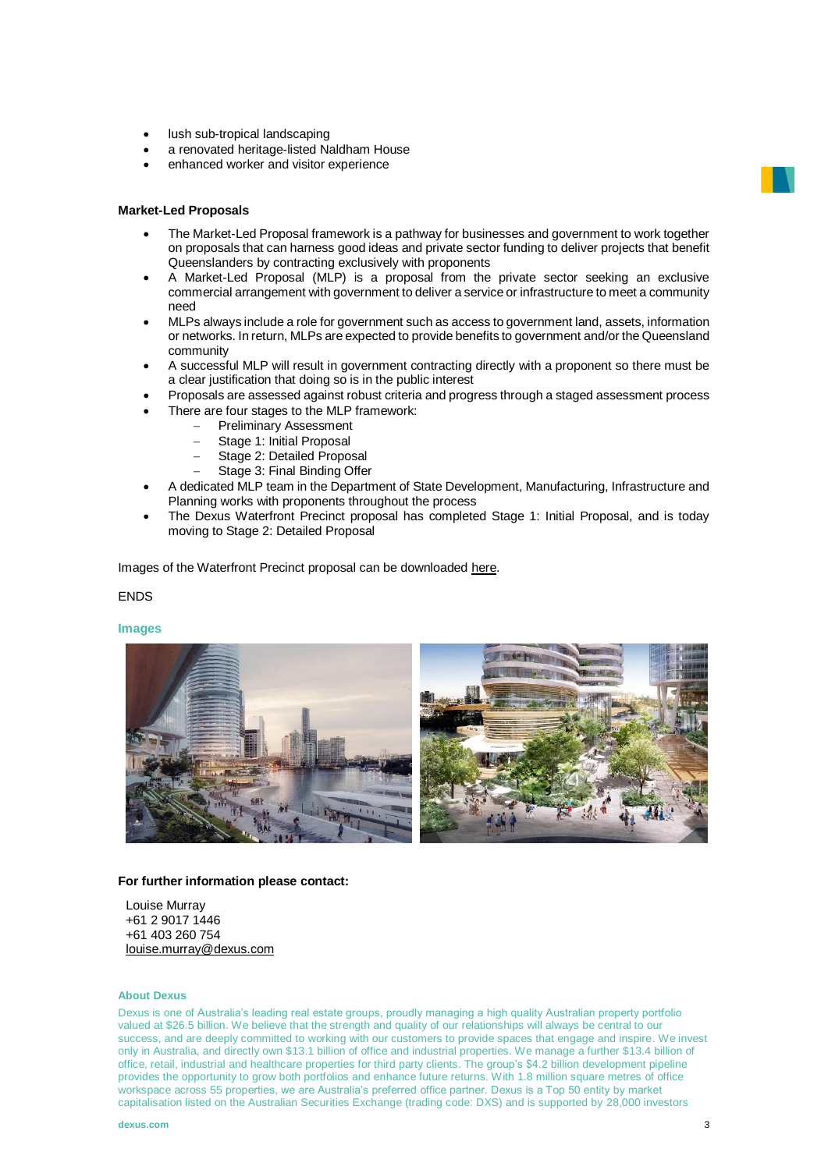- lush sub-tropical landscaping
- a renovated heritage-listed Naldham House
- enhanced worker and visitor experience

#### **Market-Led Proposals**

- The Market-Led Proposal framework is a pathway for businesses and government to work together on proposals that can harness good ideas and private sector funding to deliver projects that benefit Queenslanders by contracting exclusively with proponents
- A Market-Led Proposal (MLP) is a proposal from the private sector seeking an exclusive commercial arrangement with government to deliver a service or infrastructure to meet a community need
- MLPs always include a role for government such as access to government land, assets, information or networks. In return, MLPs are expected to provide benefits to government and/or the Queensland community
- A successful MLP will result in government contracting directly with a proponent so there must be a clear justification that doing so is in the public interest
- Proposals are assessed against robust criteria and progress through a staged assessment process
	- There are four stages to the MLP framework:
		- Preliminary Assessment
		- Stage 1: Initial Proposal
		- Stage 2: Detailed Proposal
		- Stage 3: Final Binding Offer
- A dedicated MLP team in the Department of State Development, Manufacturing, Infrastructure and Planning works with proponents throughout the process
- The Dexus Waterfront Precinct proposal has completed Stage 1: Initial Proposal, and is today moving to Stage 2: Detailed Proposal

Images of the Waterfront Precinct proposal can be downloaded [here.](https://apac01.safelinks.protection.outlook.com/?url=https%3A%2F%2Fwww.dropbox.com%2Fsh%2Ff85xlhqm3p7ex43%2FAADMstZ1XRp_Pi9fYrKB7ZLia%3Fdl%3D0&data=02%7C01%7Clouise.murray%40dexus.com%7C27eb32aafce947f33b2208d58dee9aad%7Cff21a48fd7e34aa2a597138278d4b6cd%7C0%7C0%7C636570978293732818&sdata=LTvOEyWA%2FdysxRpKJa1OvRITV9pI0XjvQKZN8itCshI%3D&reserved=0)

#### ENDS

#### **Images**



#### **For further information please contact:**

Louise Murray +61 2 9017 1446 +61 403 260 754 [louise.murray@dexus.com](mailto:louise.murray@dexus.com)

# **About Dexus**

Dexus is one of Australia's leading real estate groups, proudly managing a high quality Australian property portfolio valued at \$26.5 billion. We believe that the strength and quality of our relationships will always be central to our success, and are deeply committed to working with our customers to provide spaces that engage and inspire. We invest only in Australia, and directly own \$13.1 billion of office and industrial properties. We manage a further \$13.4 billion of office, retail, industrial and healthcare properties for third party clients. The group's \$4.2 billion development pipeline provides the opportunity to grow both portfolios and enhance future returns. With 1.8 million square metres of office workspace across 55 properties, we are Australia's preferred office partner. Dexus is a Top 50 entity by market capitalisation listed on the Australian Securities Exchange (trading code: DXS) and is supported by 28,000 investors